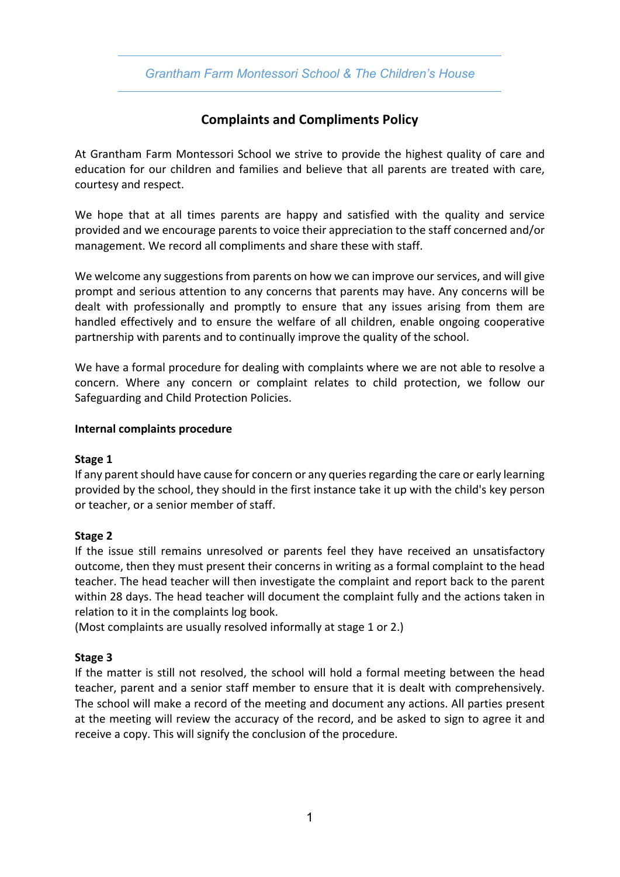*Grantham Farm Montessori School & The Children's House*

# **Complaints and Compliments Policy**

At Grantham Farm Montessori School we strive to provide the highest quality of care and education for our children and families and believe that all parents are treated with care, courtesy and respect.

We hope that at all times parents are happy and satisfied with the quality and service provided and we encourage parents to voice their appreciation to the staff concerned and/or management. We record all compliments and share these with staff.

We welcome any suggestions from parents on how we can improve our services, and will give prompt and serious attention to any concerns that parents may have. Any concerns will be dealt with professionally and promptly to ensure that any issues arising from them are handled effectively and to ensure the welfare of all children, enable ongoing cooperative partnership with parents and to continually improve the quality of the school.

We have a formal procedure for dealing with complaints where we are not able to resolve a concern. Where any concern or complaint relates to child protection, we follow our Safeguarding and Child Protection Policies.

#### **Internal complaints procedure**

#### **Stage 1**

If any parent should have cause for concern or any queries regarding the care or early learning provided by the school, they should in the first instance take it up with the child's key person or teacher, or a senior member of staff.

# **Stage 2**

If the issue still remains unresolved or parents feel they have received an unsatisfactory outcome, then they must present their concerns in writing as a formal complaint to the head teacher. The head teacher will then investigate the complaint and report back to the parent within 28 days. The head teacher will document the complaint fully and the actions taken in relation to it in the complaints log book.

(Most complaints are usually resolved informally at stage 1 or 2.)

# **Stage 3**

If the matter is still not resolved, the school will hold a formal meeting between the head teacher, parent and a senior staff member to ensure that it is dealt with comprehensively. The school will make a record of the meeting and document any actions. All parties present at the meeting will review the accuracy of the record, and be asked to sign to agree it and receive a copy. This will signify the conclusion of the procedure.